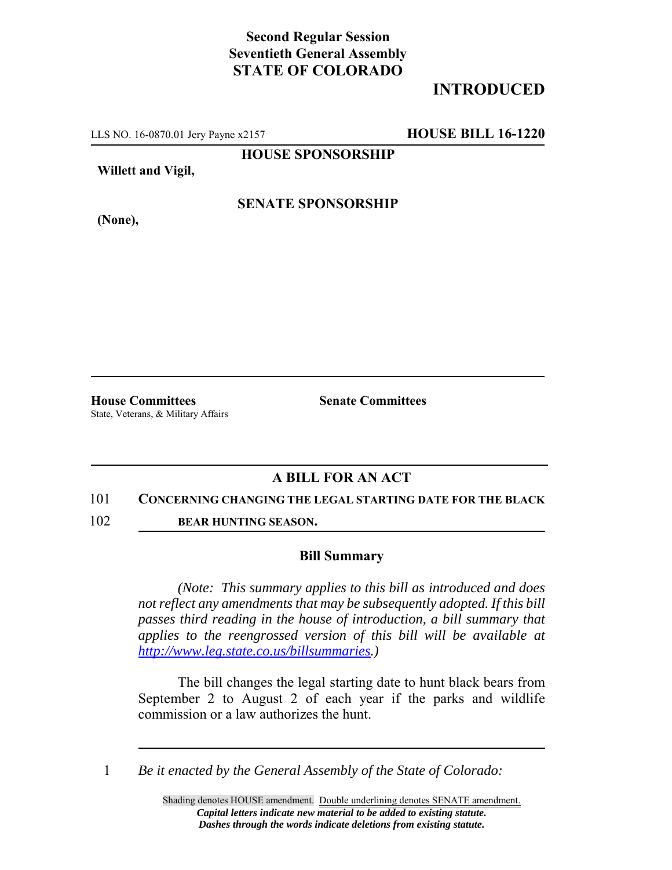## **Second Regular Session Seventieth General Assembly STATE OF COLORADO**

# **INTRODUCED**

LLS NO. 16-0870.01 Jery Payne x2157 **HOUSE BILL 16-1220**

**HOUSE SPONSORSHIP**

**Willett and Vigil,**

**(None),**

### **SENATE SPONSORSHIP**

**House Committees Senate Committees** State, Veterans, & Military Affairs

### **A BILL FOR AN ACT**

#### 101 **CONCERNING CHANGING THE LEGAL STARTING DATE FOR THE BLACK**

102 **BEAR HUNTING SEASON.**

#### **Bill Summary**

*(Note: This summary applies to this bill as introduced and does not reflect any amendments that may be subsequently adopted. If this bill passes third reading in the house of introduction, a bill summary that applies to the reengrossed version of this bill will be available at http://www.leg.state.co.us/billsummaries.)*

The bill changes the legal starting date to hunt black bears from September 2 to August 2 of each year if the parks and wildlife commission or a law authorizes the hunt.

1 *Be it enacted by the General Assembly of the State of Colorado:*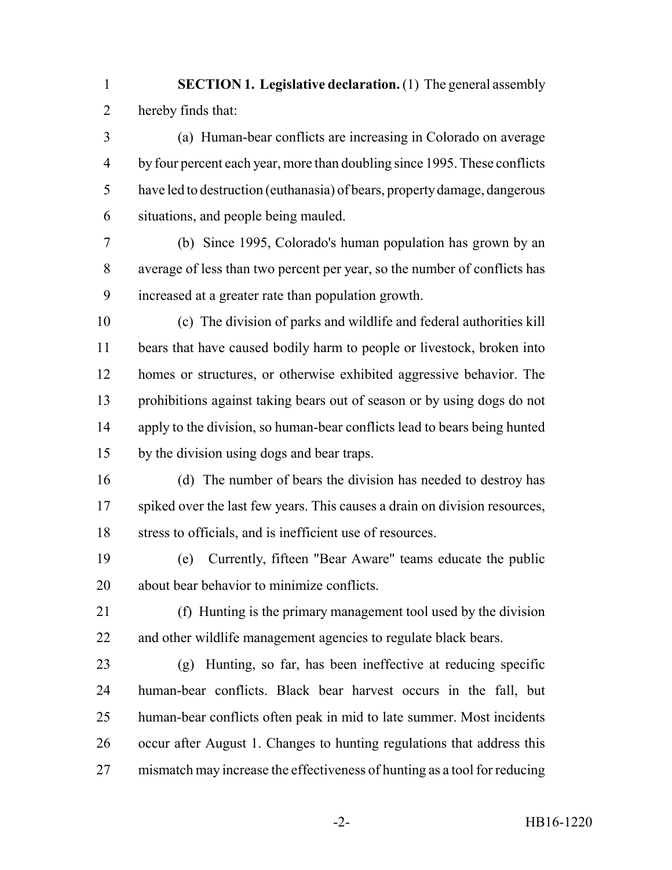**SECTION 1. Legislative declaration.** (1) The general assembly hereby finds that:

 (a) Human-bear conflicts are increasing in Colorado on average by four percent each year, more than doubling since 1995. These conflicts have led to destruction (euthanasia) of bears, property damage, dangerous situations, and people being mauled.

 (b) Since 1995, Colorado's human population has grown by an average of less than two percent per year, so the number of conflicts has increased at a greater rate than population growth.

 (c) The division of parks and wildlife and federal authorities kill bears that have caused bodily harm to people or livestock, broken into homes or structures, or otherwise exhibited aggressive behavior. The prohibitions against taking bears out of season or by using dogs do not apply to the division, so human-bear conflicts lead to bears being hunted by the division using dogs and bear traps.

 (d) The number of bears the division has needed to destroy has spiked over the last few years. This causes a drain on division resources, stress to officials, and is inefficient use of resources.

 (e) Currently, fifteen "Bear Aware" teams educate the public about bear behavior to minimize conflicts.

 (f) Hunting is the primary management tool used by the division and other wildlife management agencies to regulate black bears.

 (g) Hunting, so far, has been ineffective at reducing specific human-bear conflicts. Black bear harvest occurs in the fall, but human-bear conflicts often peak in mid to late summer. Most incidents occur after August 1. Changes to hunting regulations that address this mismatch may increase the effectiveness of hunting as a tool for reducing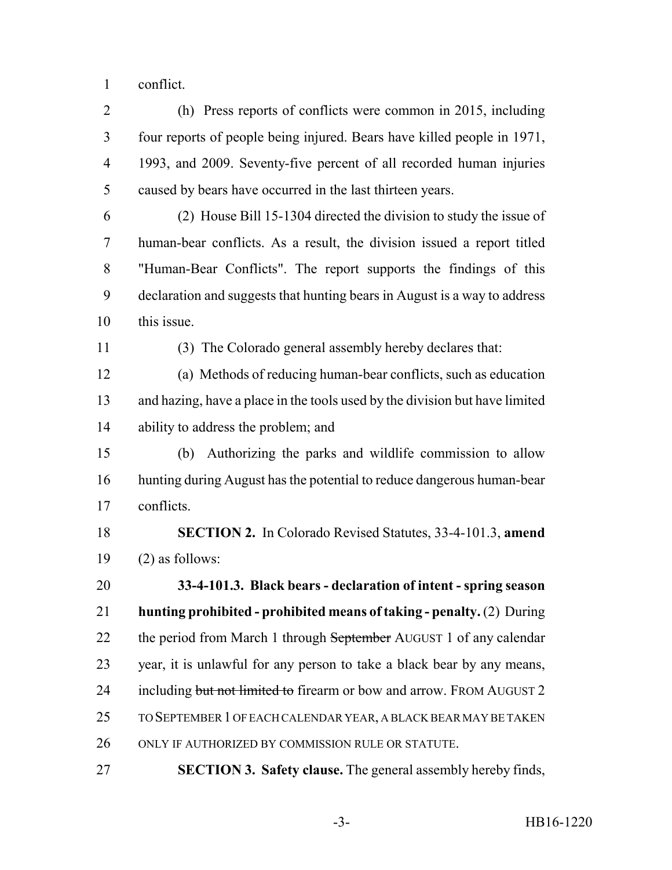conflict.

 (h) Press reports of conflicts were common in 2015, including four reports of people being injured. Bears have killed people in 1971, 1993, and 2009. Seventy-five percent of all recorded human injuries caused by bears have occurred in the last thirteen years.

 (2) House Bill 15-1304 directed the division to study the issue of human-bear conflicts. As a result, the division issued a report titled "Human-Bear Conflicts". The report supports the findings of this declaration and suggests that hunting bears in August is a way to address this issue.

(3) The Colorado general assembly hereby declares that:

 (a) Methods of reducing human-bear conflicts, such as education and hazing, have a place in the tools used by the division but have limited ability to address the problem; and

 (b) Authorizing the parks and wildlife commission to allow hunting during August has the potential to reduce dangerous human-bear conflicts.

 **SECTION 2.** In Colorado Revised Statutes, 33-4-101.3, **amend** 19  $(2)$  as follows:

 **33-4-101.3. Black bears - declaration of intent - spring season hunting prohibited - prohibited means of taking - penalty.** (2) During 22 the period from March 1 through September AUGUST 1 of any calendar year, it is unlawful for any person to take a black bear by any means, 24 including but not limited to firearm or bow and arrow. FROM AUGUST 2 TO SEPTEMBER 1 OF EACH CALENDAR YEAR, A BLACK BEAR MAY BE TAKEN ONLY IF AUTHORIZED BY COMMISSION RULE OR STATUTE.

**SECTION 3. Safety clause.** The general assembly hereby finds,